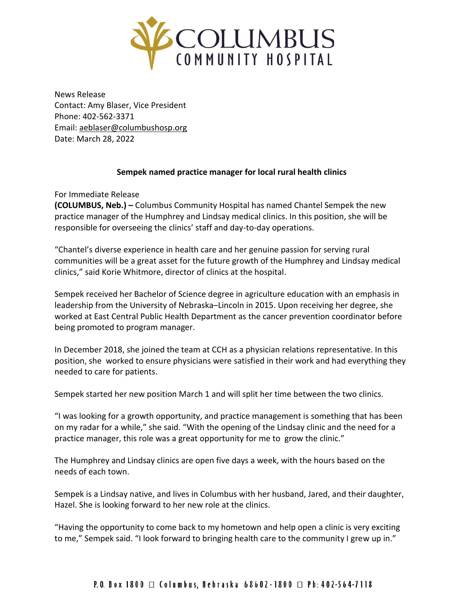

News Release Contact: Amy Blaser, Vice President Phone: 402-562-3371 Email: [aeblaser@columbushosp.org](mailto:aeblaser@columbushosp.org) Date: March 28, 2022

## **Sempek named practice manager for local rural health clinics**

For Immediate Release

**(COLUMBUS, Neb.) –** Columbus Community Hospital has named Chantel Sempek the new practice manager of the Humphrey and Lindsay medical clinics. In this position, she will be responsible for overseeing the clinics' staff and day-to-day operations.

"Chantel's diverse experience in health care and her genuine passion for serving rural communities will be a great asset for the future growth of the Humphrey and Lindsay medical clinics," said Korie Whitmore, director of clinics at the hospital.

Sempek received her Bachelor of Science degree in agriculture education with an emphasis in leadership from the University of Nebraska–Lincoln in 2015. Upon receiving her degree, she worked at East Central Public Health Department as the cancer prevention coordinator before being promoted to program manager.

In December 2018, she joined the team at CCH as a physician relations representative. In this position, she worked to ensure physicians were satisfied in their work and had everything they needed to care for patients.

Sempek started her new position March 1 and will split her time between the two clinics.

"I was looking for a growth opportunity, and practice management is something that has been on my radar for a while," she said. "With the opening of the Lindsay clinic and the need for a practice manager, this role was a great opportunity for me to grow the clinic."

The Humphrey and Lindsay clinics are open five days a week, with the hours based on the needs of each town.

Sempek is a Lindsay native, and lives in Columbus with her husband, Jared, and their daughter, Hazel. She is looking forward to her new role at the clinics.

"Having the opportunity to come back to my hometown and help open a clinic is very exciting to me," Sempek said. "I look forward to bringing health care to the community I grew up in."